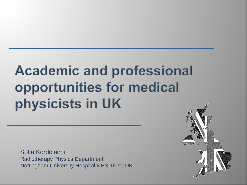# **Academic and professional** opportunities for medical physicists in UK

Sofia Kordolaimi Radiotherapy Physics Department Nottingham University Hospital NHS Trust, UK

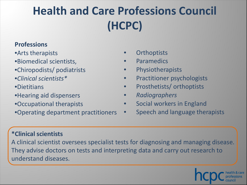## **Health and Care Professions Council (HCPC)**

#### **Professions**

•Arts therapists

- •Biomedical scientists,
- •Chiropodists/ podiatrists
- •*Clinical scientists\**

•Dietitians

- •Hearing aid dispensers
- •Occupational therapists

•Operating department practitioners

- **Orthoptists**
- **Paramedics**
- **Physiotherapists**
- Practitioner psychologists
- Prosthetists/ orthoptists
- *Radiographers*
- Social workers in England
- Speech and language therapists

#### **\*Clinical scientists**

A clinical scientist oversees specialist tests for diagnosing and managing disease. They advise doctors on tests and interpreting data and carry out research to understand diseases.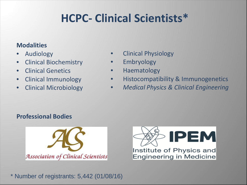### **HCPC- Clinical Scientists\***

#### **Modalities**

- Audiology
- Clinical Biochemistry
- Clinical Genetics
- Clinical Immunology
- Clinical Microbiology
- Clinical Physiology
- **Embryology**
- Haematology
- Histocompatibility & Immunogenetics
- *Medical Physics & Clinical Engineering*

#### **Professional Bodies**





\* Number of registrants: 5,442 (01/08/16)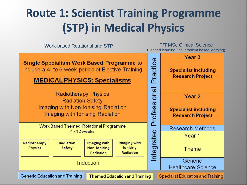### **Route 1: Scientist Training Programme (STP) in Medical Physics**

Work-based Rotational and STP **P/T MSc Clinical Science** Blended learning (incl problem based learning)

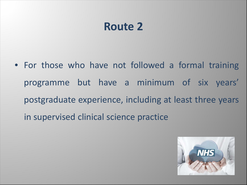#### **Route 2**

• For those who have not followed a formal training programme but have a minimum of six years' postgraduate experience, including at least three years in supervised clinical science practice

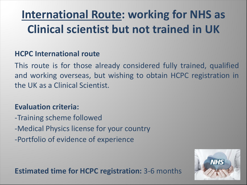### **International Route: working for NHS as Clinical scientist but not trained in UK**

#### **HCPC International route**

This route is for those already considered fully trained, qualified and working overseas, but wishing to obtain HCPC registration in the UK as a Clinical Scientist.

#### **Evaluation criteria:**

-Training scheme followed -Medical Physics license for your country -Portfolio of evidence of experience

**NHS** 

**Estimated time for HCPC registration:** 3-6 months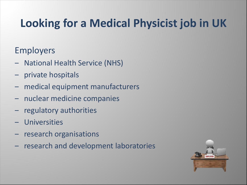### **Looking for a Medical Physicist job in UK**

#### Employers

- National Health Service (NHS)
- ‒ private hospitals
- ‒ medical equipment manufacturers
- ‒ nuclear medicine companies
- ‒ regulatory authorities
- ‒ Universities
- research organisations
- ‒ research and development laboratories

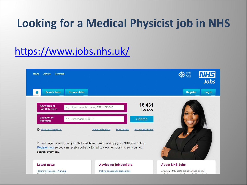### **Looking for a Medical Physicist job in NHS**

#### <https://www.jobs.nhs.uk/>

| <b>Advice</b><br><b>News</b><br>Cymraeg    |                                          | <b>BANHIS</b><br><b>NHS</b><br>Jobs |
|--------------------------------------------|------------------------------------------|-------------------------------------|
| <b>Search Jobs</b><br>n                    | <b>Browse Jobs</b>                       | <b>Register</b><br>Log in           |
| <b>Keywords or</b><br><b>Job Reference</b> | e.g. physiotherapist, nurse, SFP-MED-340 | 16,431<br>live jobs                 |
| <b>Location or</b><br><b>Postcode</b>      | e.g. Sunderland, BS8 1RL                 | <b>Search</b>                       |
| <b>O</b> More search options               | Advanced search<br><b>Browse jobs</b>    | <b>Browse employers</b>             |

Register now so you can receive Jobs by E-mail to view new posts to suit your job search every day.

#### **Latest news**

**Return to Practice - Nursing** 

**Advice for job seekers** 

Making successful applications

Around 25,000 posts are advertised on this

**About NHS Jobs**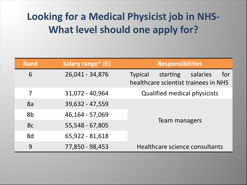#### **Looking for a Medical Physicist job in NHS-What level should one apply for?**

| <b>Band</b> | Salary range* (£) | <b>Responsibilities</b>                                                               |
|-------------|-------------------|---------------------------------------------------------------------------------------|
| 6           | 26,041 - 34,876   | for<br>salaries<br>starting<br><b>Typical</b><br>healthcare scientist trainees in NHS |
| 7           | 31,072 - 40,964   | <b>Qualified medical physicists</b>                                                   |
| 8a          | 39,632 - 47,559   |                                                                                       |
| 8b          | 46,164 - 57,069   | Team managers                                                                         |
| 8c          | 55,548 - 67,805   |                                                                                       |
| 8d          | 65,922 - 81,618   |                                                                                       |
| 9           | 77,850 - 98,453   | Healthcare science consultants                                                        |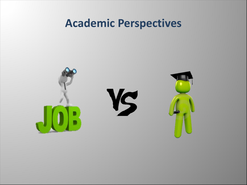#### **Academic Perspectives**

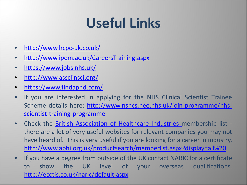# **Useful Links**

- [http://www.hcpc-uk.co.uk/](http://www.ipem.ac.uk/CareersTraining.aspx)
- <http://www.ipem.ac.uk/CareersTraining.aspx>
- <https://www.jobs.nhs.uk/>
- <http://www.assclinsci.org/>
- <https://www.findaphd.com/>
- If you are interested in applying for the NHS Clinical Scientist Trainee Scheme details here: [http://www.nshcs.hee.nhs.uk/join-programme/nhs](http://www.nshcs.hee.nhs.uk/join-programme/nhs-scientist-training-programme)[scientist-training-programme](http://www.nshcs.hee.nhs.uk/join-programme/nhs-scientist-training-programme)
- Check the British [Association](http://www.abhi.org.uk/productsearch/memberlist.aspx?display=all ) of Healthcare Industries membership list there are a lot of very useful websites for relevant companies you may not have heard of. This is very useful if you are looking for a career in industry. [http://www.abhi.org.uk/productsearch/memberlist.aspx?display=all%20](http://www.abhi.org.uk/productsearch/memberlist.aspx?display=all )
- If you have a degree from outside of the UK contact NARIC for a certificate to show the UK level of your overseas qualifications. <http://ecctis.co.uk/naric/default.aspx>